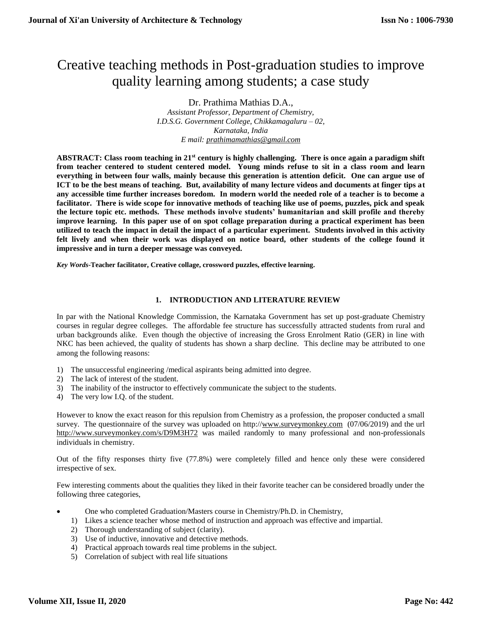# Creative teaching methods in Post-graduation studies to improve quality learning among students; a case study

Dr. Prathima Mathias D.A., *Assistant Professor, Department of Chemistry, I.D.S.G. Government College, Chikkamagaluru – 02, Karnataka, India E mail: [prathimamathias@gmail.com](mailto:prathimamathias@gmail.com)*

**ABSTRACT: Class room teaching in 21st century is highly challenging. There is once again a paradigm shift from teacher centered to student centered model. Young minds refuse to sit in a class room and learn everything in between four walls, mainly because this generation is attention deficit. One can argue use of ICT to be the best means of teaching. But, availability of many lecture videos and documents at finger tips at any accessible time further increases boredom. In modern world the needed role of a teacher is to become a facilitator. There is wide scope for innovative methods of teaching like use of poems, puzzles, pick and speak the lecture topic etc. methods. These methods involve students' humanitarian and skill profile and thereby improve learning. In this paper use of on spot collage preparation during a practical experiment has been utilized to teach the impact in detail the impact of a particular experiment. Students involved in this activity felt lively and when their work was displayed on notice board, other students of the college found it impressive and in turn a deeper message was conveyed.**

*Key Words***-Teacher facilitator, Creative collage, crossword puzzles, effective learning.**

## **1. INTRODUCTION AND LITERATURE REVIEW**

In par with the National Knowledge Commission, the Karnataka Government has set up post-graduate Chemistry courses in regular degree colleges. The affordable fee structure has successfully attracted students from rural and urban backgrounds alike. Even though the objective of increasing the Gross Enrolment Ratio (GER) in line with NKC has been achieved, the quality of students has shown a sharp decline. This decline may be attributed to one among the following reasons:

- 1) The unsuccessful engineering /medical aspirants being admitted into degree.
- 2) The lack of interest of the student.
- 3) The inability of the instructor to effectively communicate the subject to the students.
- 4) The very low I.Q. of the student.

However to know the exact reason for this repulsion from Chemistry as a profession, the proposer conducted a small survey. The questionnaire of the survey was uploaded on http:/[/www.surveymonkey.com](http://www.surveymonkey.com/) (07/06/2019) and the url <http://www.surveymonkey.com/s/D9M3H72> was mailed randomly to many professional and non-professionals individuals in chemistry.

Out of the fifty responses thirty five (77.8%) were completely filled and hence only these were considered irrespective of sex.

Few interesting comments about the qualities they liked in their favorite teacher can be considered broadly under the following three categories,

- One who completed Graduation/Masters course in Chemistry/Ph.D. in Chemistry,
	- 1) Likes a science teacher whose method of instruction and approach was effective and impartial.
	- 2) Thorough understanding of subject (clarity).
	- 3) Use of inductive, innovative and detective methods.
	- 4) Practical approach towards real time problems in the subject.
	- 5) Correlation of subject with real life situations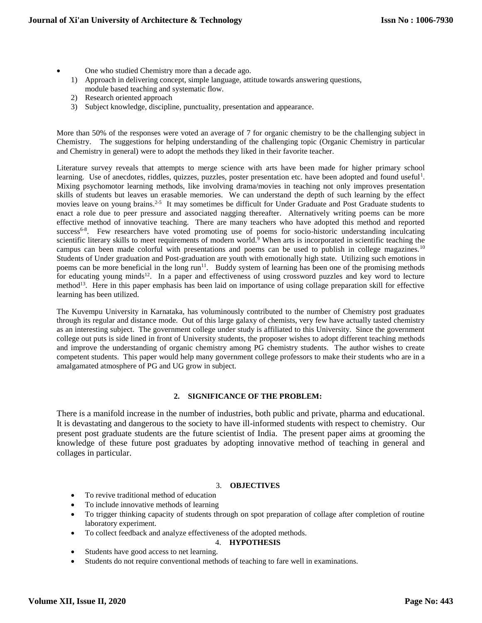- One who studied Chemistry more than a decade ago.
	- 1) Approach in delivering concept, simple language, attitude towards answering questions, module based teaching and systematic flow.
	- 2) Research oriented approach
	- 3) Subject knowledge, discipline, punctuality, presentation and appearance.

More than 50% of the responses were voted an average of 7 for organic chemistry to be the challenging subject in Chemistry. The suggestions for helping understanding of the challenging topic (Organic Chemistry in particular and Chemistry in general) were to adopt the methods they liked in their favorite teacher.

Literature survey reveals that attempts to merge science with arts have been made for higher primary school learning. Use of anecdotes, riddles, quizzes, puzzles, poster presentation etc. have been adopted and found useful<sup>1</sup>. Mixing psychomotor learning methods, like involving drama/movies in teaching not only improves presentation skills of students but leaves un erasable memories. We can understand the depth of such learning by the effect movies leave on young brains.<sup>2-5</sup> It may sometimes be difficult for Under Graduate and Post Graduate students to enact a role due to peer pressure and associated nagging thereafter. Alternatively writing poems can be more effective method of innovative teaching. There are many teachers who have adopted this method and reported success<sup>6-8</sup>. Few researchers have voted promoting use of poems for socio-historic understanding inculcating scientific literary skills to meet requirements of modern world.<sup>9</sup> When arts is incorporated in scientific teaching the campus can been made colorful with presentations and poems can be used to publish in college magazines.<sup>10</sup> Students of Under graduation and Post-graduation are youth with emotionally high state. Utilizing such emotions in poems can be more beneficial in the long run<sup>11</sup>. Buddy system of learning has been one of the promising methods for educating young minds<sup>12</sup>. In a paper and effectiveness of using crossword puzzles and key word to lecture method<sup>13</sup>. Here in this paper emphasis has been laid on importance of using collage preparation skill for effective learning has been utilized.

The Kuvempu University in Karnataka, has voluminously contributed to the number of Chemistry post graduates through its regular and distance mode. Out of this large galaxy of chemists, very few have actually tasted chemistry as an interesting subject. The government college under study is affiliated to this University. Since the government college out puts is side lined in front of University students, the proposer wishes to adopt different teaching methods and improve the understanding of organic chemistry among PG chemistry students. The author wishes to create competent students. This paper would help many government college professors to make their students who are in a amalgamated atmosphere of PG and UG grow in subject.

## **2. SIGNIFICANCE OF THE PROBLEM:**

There is a manifold increase in the number of industries, both public and private, pharma and educational. It is devastating and dangerous to the society to have ill-informed students with respect to chemistry. Our present post graduate students are the future scientist of India. The present paper aims at grooming the knowledge of these future post graduates by adopting innovative method of teaching in general and collages in particular.

#### 3. **OBJECTIVES**

- To revive traditional method of education
- To include innovative methods of learning
- To trigger thinking capacity of students through on spot preparation of collage after completion of routine laboratory experiment.
- To collect feedback and analyze effectiveness of the adopted methods.

#### 4. **HYPOTHESIS**

- Students have good access to net learning.
- Students do not require conventional methods of teaching to fare well in examinations.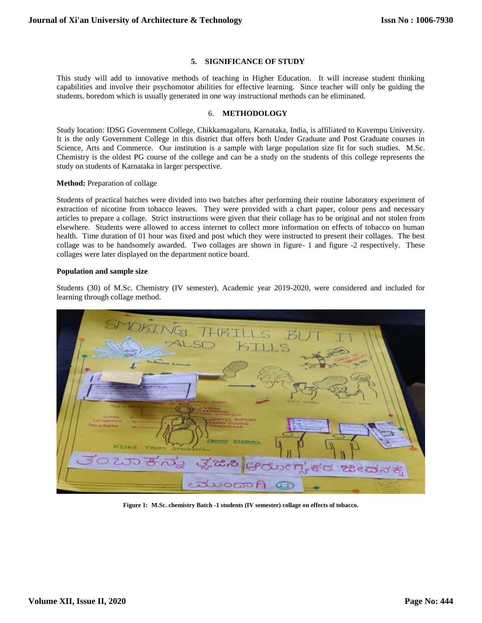#### **5. SIGNIFICANCE OF STUDY**

This study will add to innovative methods of teaching in Higher Education. It will increase student thinking capabilities and involve their psychomotor abilities for effective learning. Since teacher will only be guiding the students, boredom which is usually generated in one way instructional methods can be eliminated.

#### 6. **METHODOLOGY**

Study location: IDSG Government College, Chikkamagaluru, Karnataka, India, is affiliated to Kuvempu University. It is the only Government College in this district that offers both Under Graduate and Post Graduate courses in Science, Arts and Commerce. Our institution is a sample with large population size fit for such studies. M.Sc. Chemistry is the oldest PG course of the college and can be a study on the students of this college represents the study on students of Karnataka in larger perspective.

#### **Method:** Preparation of collage

Students of practical batches were divided into two batches after performing their routine laboratory experiment of extraction of nicotine from tobacco leaves. They were provided with a chart paper, colour pens and necessary articles to prepare a collage. Strict instructions were given that their collage has to be original and not stolen from elsewhere. Students were allowed to access internet to collect more information on effects of tobacco on human health. Time duration of 01 hour was fixed and post which they were instructed to present their collages. The best collage was to be handsomely awarded. Two collages are shown in figure- 1 and figure -2 respectively. These collages were later displayed on the department notice board.

#### **Population and sample size**

Students (30) of M.Sc. Chemistry (IV semester), Academic year 2019-2020, were considered and included for learning through collage method.



**Figure 1: M.Sc. chemistry Batch -1 students (IV semester) collage on effects of tobacco.**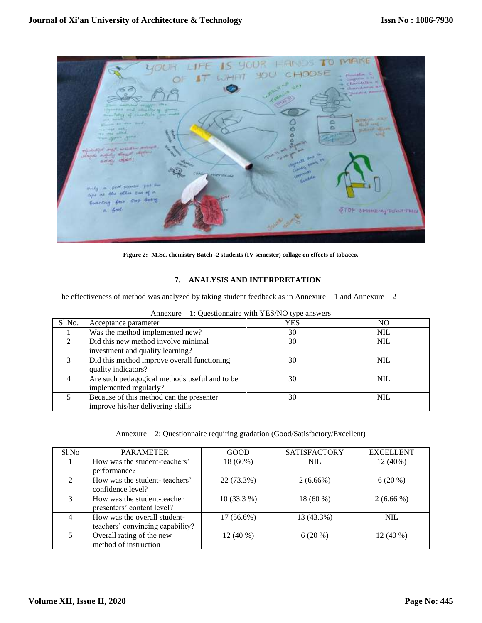

**Figure 2: M.Sc. chemistry Batch -2 students (IV semester) collage on effects of tobacco.**

# **7. ANALYSIS AND INTERPRETATION**

The effectiveness of method was analyzed by taking student feedback as in Annexure – 1 and Annexure – 2

| Sl.No. | Acceptance parameter                          | <b>YES</b> | NO         |
|--------|-----------------------------------------------|------------|------------|
|        | Was the method implemented new?               | 30         | <b>NIL</b> |
|        | Did this new method involve minimal           | 30         | NIL        |
|        | investment and quality learning?              |            |            |
| 3      | Did this method improve overall functioning   | 30         | NIL        |
|        | quality indicators?                           |            |            |
|        | Are such pedagogical methods useful and to be | 30         | <b>NIL</b> |
|        | implemented regularly?                        |            |            |
|        | Because of this method can the presenter      | 30         | NIL        |
|        | improve his/her delivering skills             |            |            |

Annexure – 1: Questionnaire with YES/NO type answers

Annexure – 2: Questionnaire requiring gradation (Good/Satisfactory/Excellent)

| S1.No         | <b>PARAMETER</b>                                                 | GOOD         | <b>SATISFACTORY</b> | <b>EXCELLENT</b> |
|---------------|------------------------------------------------------------------|--------------|---------------------|------------------|
|               | How was the student-teachers'<br>performance?                    | 18 (60%)     | <b>NIL</b>          | 12 (40%)         |
| $\mathcal{L}$ | How was the student-teachers'<br>confidence level?               | 22 (73.3%)   | $2(6.66\%)$         | $6(20\%)$        |
|               | How was the student-teacher<br>presenters' content level?        | $10(33.3\%)$ | 18 (60 %)           | $2(6.66\%)$      |
| 4             | How was the overall student-<br>teachers' convincing capability? | $17(56.6\%)$ | 13 (43.3%)          | <b>NIL</b>       |
| 5.            | Overall rating of the new<br>method of instruction               | $12(40\%)$   | $6(20\%)$           | $12(40\%)$       |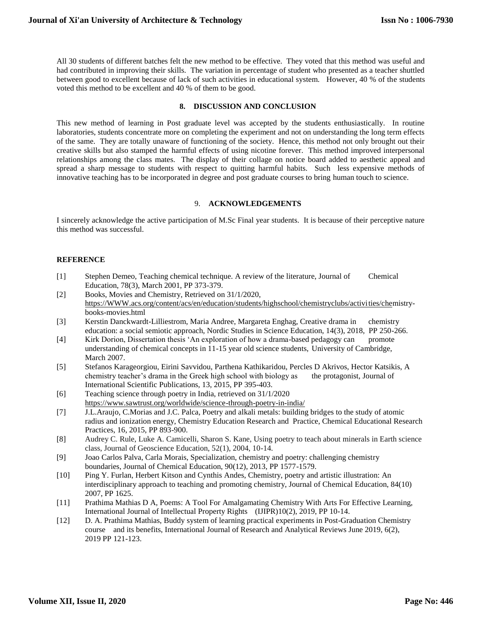All 30 students of different batches felt the new method to be effective. They voted that this method was useful and had contributed in improving their skills. The variation in percentage of student who presented as a teacher shuttled between good to excellent because of lack of such activities in educational system. However, 40 % of the students voted this method to be excellent and 40 % of them to be good.

#### **8. DISCUSSION AND CONCLUSION**

This new method of learning in Post graduate level was accepted by the students enthusiastically. In routine laboratories, students concentrate more on completing the experiment and not on understanding the long term effects of the same. They are totally unaware of functioning of the society. Hence, this method not only brought out their creative skills but also stamped the harmful effects of using nicotine forever. This method improved interpersonal relationships among the class mates. The display of their collage on notice board added to aesthetic appeal and spread a sharp message to students with respect to quitting harmful habits. Such less expensive methods of innovative teaching has to be incorporated in degree and post graduate courses to bring human touch to science.

# 9. **ACKNOWLEDGEMENTS**

I sincerely acknowledge the active participation of M.Sc Final year students. It is because of their perceptive nature this method was successful.

#### **REFERENCE**

- [1] Stephen Demeo, Teaching chemical technique. A review of the literature, Journal of Chemical Education, 78(3), March 2001, PP 373-379.
- [2] Books, Movies and Chemistry, Retrieved on 31/1/2020, [https://WWW.acs.org/content/acs/en/education/students/highschool/chemistryclubs/activities/chem](https://www.acs.org/content/acs/en/education/students/highschool/chemistryclubs/activi%09ties/che)istrybooks-movies.html
- [3] Kerstin Danckwardt-Lilliestrom, Maria Andree, Margareta Enghag, Creative drama in chemistry education: a social semiotic approach, Nordic Studies in Science Education, 14(3), 2018, PP 250-266.
- [4] Kirk Dorion, Dissertation thesis 'An exploration of how a drama-based pedagogy can promote understanding of chemical concepts in 11-15 year old science students, University of Cambridge, March 2007.
- [5] Stefanos Karageorgiou, Eirini Savvidou, Parthena Kathikaridou, Percles D Akrivos, Hector Katsikis, A chemistry teacher's drama in the Greek high school with biology as the protagonist, Journal of International Scientific Publications, 13, 2015, PP 395-403.
- [6] Teaching science through poetry in India, retrieved on 31/1/2020 <https://www.sawtrust.org/worldwide/science-through-poetry-in-india/>
- [7] J.L.Araujo, C.Morias and J.C. Palca, Poetry and alkali metals: building bridges to the study of atomic radius and ionization energy, Chemistry Education Research and Practice, Chemical Educational Research Practices, 16, 2015, PP 893-900.
- [8] Audrey C. Rule, Luke A. Camicelli, Sharon S. Kane, Using poetry to teach about minerals in Earth science class, Journal of Geoscience Education, 52(1), 2004, 10-14.
- [9] Joao Carlos Palva, Carla Morais, Specialization, chemistry and poetry: challenging chemistry boundaries, Journal of Chemical Education, 90(12), 2013, PP 1577-1579.
- [10] Ping Y. Furlan, Herbert Kitson and Cynthis Andes, Chemistry, poetry and artistic illustration: An interdisciplinary approach to teaching and promoting chemistry, Journal of Chemical Education, 84(10) 2007, PP 1625.
- [11] Prathima Mathias D A, Poems: A Tool For Amalgamating Chemistry With Arts For Effective Learning, International Journal of Intellectual Property Rights (IJIPR)10(2), 2019, PP 10-14.
- [12] D. A. Prathima Mathias, Buddy system of learning practical experiments in Post-Graduation Chemistry course and its benefits, International Journal of Research and Analytical Reviews June 2019, 6(2), 2019 PP 121-123.